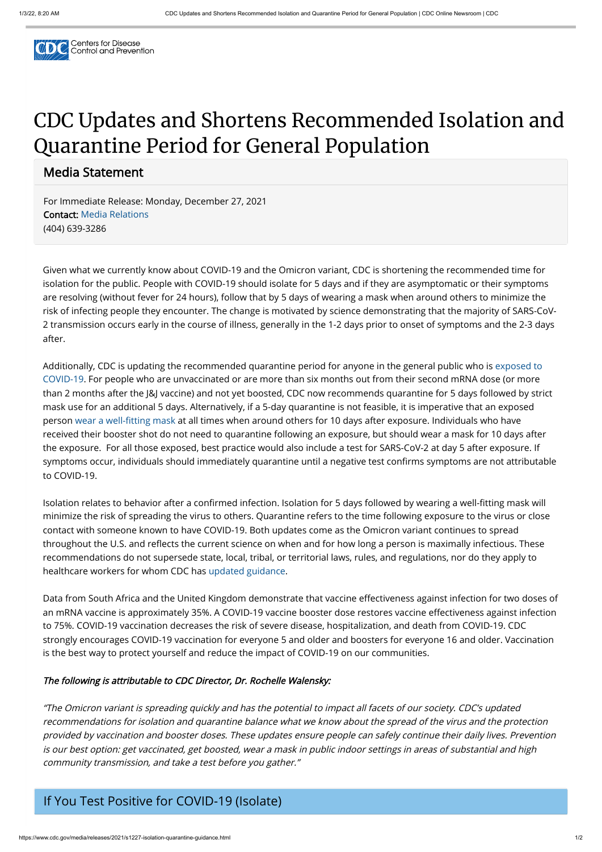

# CDC Updates and Shortens Recommended Isolation and Quarantine Period for General Population

Media Statement

For Immediate Release: Monday, December 27, 2021 Contact: [Media Relations](https://www.cdc.gov/media) (404) 639-3286

Given what we currently know about COVID-19 and the Omicron variant, CDC is shortening the recommended time for isolation for the public. People with COVID-19 should isolate for 5 days and if they are asymptomatic or their symptoms are resolving (without fever for 24 hours), follow that by 5 days of wearing a mask when around others to minimize the risk of infecting people they encounter. The change is motivated by science demonstrating that the majority of SARS-CoV-2 transmission occurs early in the course of illness, generally in the 1-2 days prior to onset of symptoms and the 2-3 days after.

[Additionally, CDC is updating the recommended quarantine period for anyone in the general public who is exposed to](https://www.cdc.gov/coronavirus/2019-ncov/your-health/quarantine-isolation.html#closecontact) COVID-19. For people who are unvaccinated or are more than six months out from their second mRNA dose (or more than 2 months after the J&J vaccine) and not yet boosted, CDC now recommends quarantine for 5 days followed by strict mask use for an additional 5 days. Alternatively, if a 5-day quarantine is not feasible, it is imperative that an exposed person [wear a well-fitting mask](https://www.cdc.gov/coronavirus/2019-ncov/your-health/effective-masks.html) at all times when around others for 10 days after exposure. Individuals who have received their booster shot do not need to quarantine following an exposure, but should wear a mask for 10 days after the exposure. For all those exposed, best practice would also include a test for SARS-CoV-2 at day 5 after exposure. If symptoms occur, individuals should immediately quarantine until a negative test confirms symptoms are not attributable to COVID-19.

Isolation relates to behavior after a confirmed infection. Isolation for 5 days followed by wearing a well-fitting mask will minimize the risk of spreading the virus to others. Quarantine refers to the time following exposure to the virus or close contact with someone known to have COVID-19. Both updates come as the Omicron variant continues to spread throughout the U.S. and reflects the current science on when and for how long a person is maximally infectious. These recommendations do not supersede state, local, tribal, or territorial laws, rules, and regulations, nor do they apply to healthcare workers for whom CDC has [updated guidance](https://www.cdc.gov/coronavirus/2019-ncov/hcp/guidance-risk-assesment-hcp.html).

Data from South Africa and the United Kingdom demonstrate that vaccine effectiveness against infection for two doses of an mRNA vaccine is approximately 35%. A COVID-19 vaccine booster dose restores vaccine effectiveness against infection to 75%. COVID-19 vaccination decreases the risk of severe disease, hospitalization, and death from COVID-19. CDC strongly encourages COVID-19 vaccination for everyone 5 and older and boosters for everyone 16 and older. Vaccination

## is the best way to protect yourself and reduce the impact of COVID-19 on our communities.

#### The following is attributable to CDC Director, Dr. Rochelle Walensky:

"The Omicron variant is spreading quickly and has the potential to impact all facets of our society. CDC's updated recommendations for isolation and quarantine balance what we know about the spread of the virus and the protection provided by vaccination and booster doses. These updates ensure people can safely continue their daily lives. Prevention is our best option: get vaccinated, get boosted, wear a mask in public indoor settings in areas of substantial and high community transmission, and take a test before you gather."

## If You Test Positive for COVID-19 (Isolate)